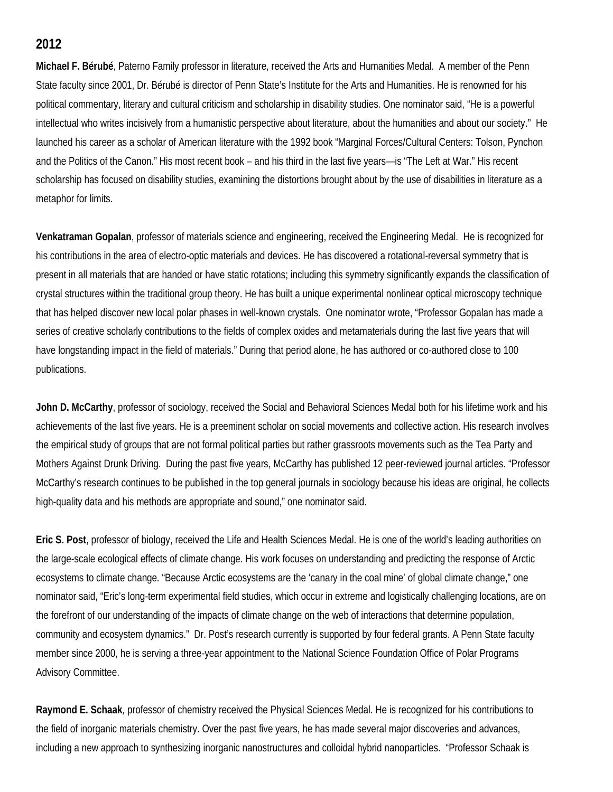## **2012**

**Michael F. Bérubé**, Paterno Family professor in literature, received the Arts and Humanities Medal. A member of the Penn State faculty since 2001, Dr. Bérubé is director of Penn State's Institute for the Arts and Humanities. He is renowned for his political commentary, literary and cultural criticism and scholarship in disability studies. One nominator said, "He is a powerful intellectual who writes incisively from a humanistic perspective about literature, about the humanities and about our society." He launched his career as a scholar of American literature with the 1992 book "Marginal Forces/Cultural Centers: Tolson, Pynchon and the Politics of the Canon." His most recent book – and his third in the last five years—is "The Left at War." His recent scholarship has focused on disability studies, examining the distortions brought about by the use of disabilities in literature as a metaphor for limits.

**Venkatraman Gopalan**, professor of materials science and engineering, received the Engineering Medal. He is recognized for his contributions in the area of electro-optic materials and devices. He has discovered a rotational-reversal symmetry that is present in all materials that are handed or have static rotations; including this symmetry significantly expands the classification of crystal structures within the traditional group theory. He has built a unique experimental nonlinear optical microscopy technique that has helped discover new local polar phases in well-known crystals. One nominator wrote, "Professor Gopalan has made a series of creative scholarly contributions to the fields of complex oxides and metamaterials during the last five years that will have longstanding impact in the field of materials." During that period alone, he has authored or co-authored close to 100 publications.

**John D. McCarthy**, professor of sociology, received the Social and Behavioral Sciences Medal both for his lifetime work and his achievements of the last five years. He is a preeminent scholar on social movements and collective action. His research involves the empirical study of groups that are not formal political parties but rather grassroots movements such as the Tea Party and Mothers Against Drunk Driving. During the past five years, McCarthy has published 12 peer-reviewed journal articles. "Professor McCarthy's research continues to be published in the top general journals in sociology because his ideas are original, he collects high-quality data and his methods are appropriate and sound," one nominator said.

**Eric S. Post**, professor of biology, received the Life and Health Sciences Medal. He is one of the world's leading authorities on the large-scale ecological effects of climate change. His work focuses on understanding and predicting the response of Arctic ecosystems to climate change. "Because Arctic ecosystems are the 'canary in the coal mine' of global climate change," one nominator said, "Eric's long-term experimental field studies, which occur in extreme and logistically challenging locations, are on the forefront of our understanding of the impacts of climate change on the web of interactions that determine population, community and ecosystem dynamics." Dr. Post's research currently is supported by four federal grants. A Penn State faculty member since 2000, he is serving a three-year appointment to the National Science Foundation Office of Polar Programs Advisory Committee.

**Raymond E. Schaak***,* professor of chemistry received the Physical Sciences Medal. He is recognized for his contributions to the field of inorganic materials chemistry. Over the past five years, he has made several major discoveries and advances, including a new approach to synthesizing inorganic nanostructures and colloidal hybrid nanoparticles. "Professor Schaak is